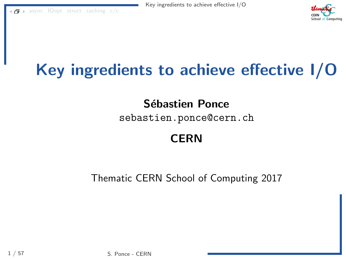



### **Sébastien Ponce**

### sebastien.ponce@cern.ch

### **CERN**

### Thematic CERN School of Computing 2017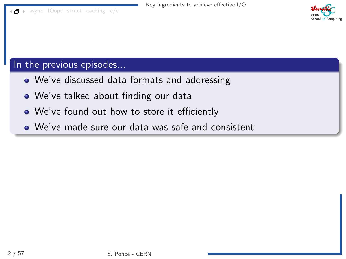



### In the previous episodes...

- We've discussed data formats and addressing
- We've talked about finding our data
- We've found out how to store it efficiently
- We've made sure our data was safe and consistent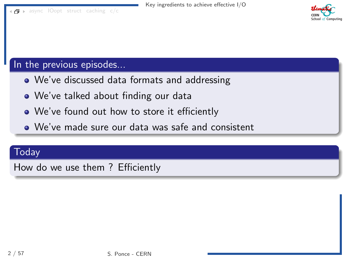



#### In the previous episodes...

- We've discussed data formats and addressing
- We've talked about finding our data
- We've found out how to store it efficiently
- We've made sure our data was safe and consistent

### Today

How do we use them ? Efficiently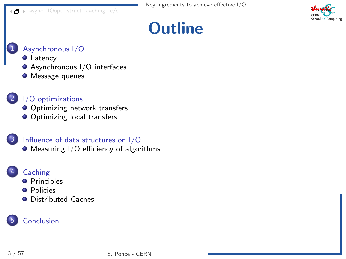

# **Outline**



- **O** [Latency](#page-5-0)
- [Asynchronous I/O interfaces](#page-20-0)
- **O** [Message queues](#page-31-0)



#### [I/O optimizations](#page-33-0)

- **O** [Optimizing network transfers](#page-34-0)
- **O** [Optimizing local transfers](#page-42-0)

#### Influence of data structures on  $I/O$

[Measuring I/O efficiency of algorithms](#page-71-0)

#### **[Caching](#page-107-0)**

- **•** [Principles](#page-108-0)
- **O** [Policies](#page-112-0)
- **O** [Distributed Caches](#page-118-0)

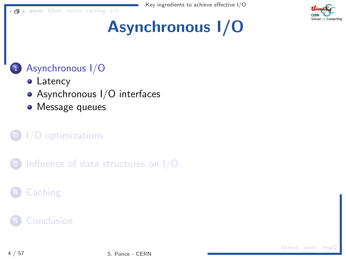

# [Asynchronous I/O](#page-4-0)

### <span id="page-4-0"></span>[Asynchronous I/O](#page-4-0)

- [Latency](#page-5-0)
- [Asynchronous I/O interfaces](#page-20-0)
- **•** [Message queues](#page-31-0)

### 1/O optimizations

Influence of data structures on  $1/O$ 

### **[Caching](#page-107-0)**

### **[Conclusion](#page-122-0)**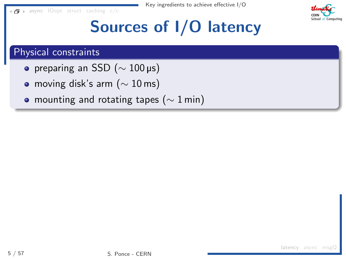

# Sources of I/O latency

### <span id="page-5-0"></span>Physical constraints

- preparing an SSD ( $\sim 100 \,\mu s$ )
- moving disk's arm ( $\sim 10 \,\mathrm{ms}$ )
- mounting and rotating tapes ( $\sim 1$  min)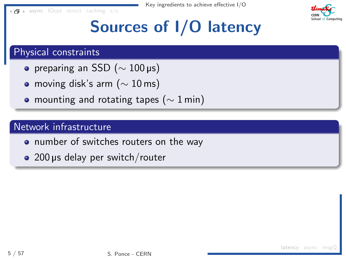

# Sources of I/O latency

### Physical constraints

- preparing an SSD ( $\sim$  100 µs)
- moving disk's arm ( $\sim 10 \,\mathrm{ms}$ )
- mounting and rotating tapes ( $\sim 1$  min)

### Network infrastructure

- **•** number of switches routers on the way
- 200 µs delay per switch/router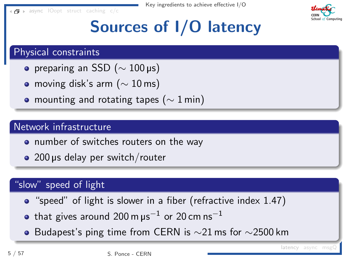

# Sources of I/O latency

### <span id="page-7-0"></span>Physical constraints

- preparing an SSD ( $\sim$  100 µs)
- moving disk's arm ( $\sim 10 \,\mathrm{ms}$ )
- mounting and rotating tapes ( $\sim 1$  min)

### Network infrastructure

- **•** number of switches routers on the way
- 200 µs delay per switch/router

### 'slow" speed of light

- "speed" of light is slower in a fiber (refractive index 1.47)
- that gives around 200 m  $\mu\text{s}^{-1}$  or 20 cm ns $^{-1}$
- $\bullet$  Budapest's ping time from CERN is  $\sim$ 21 ms for  $\sim$ 2500 km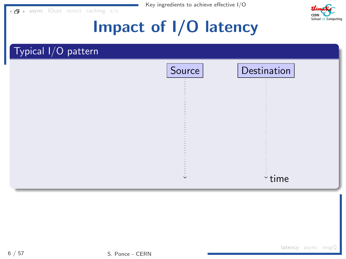$\blacksquare$  [async](#page-4-0) [IOopt](#page-33-0) [struct](#page-70-0) [caching](#page-107-0) [c/c](#page-122-0)



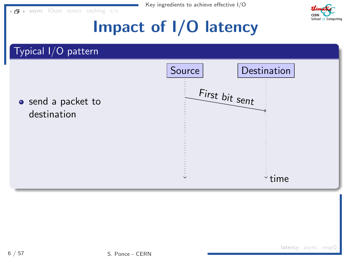$\blacksquare$  > [async](#page-4-0) [IOopt](#page-33-0) [struct](#page-70-0) [caching](#page-107-0) [c/c](#page-122-0)



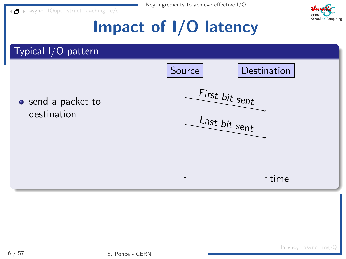$\blacksquare$  > [async](#page-4-0) [IOopt](#page-33-0) [struct](#page-70-0) [caching](#page-107-0) [c/c](#page-122-0)



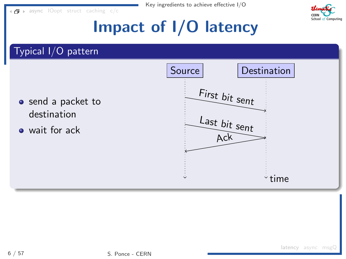$\blacksquare$  > [async](#page-4-0) [IOopt](#page-33-0) [struct](#page-70-0) [caching](#page-107-0) [c/c](#page-122-0)



# Impact of I/O latency

Typical I/O pattern

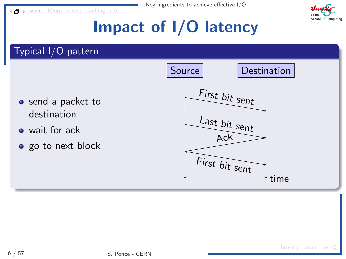$\blacksquare$  [async](#page-4-0) [IOopt](#page-33-0) [struct](#page-70-0) [caching](#page-107-0) [c/c](#page-122-0)



# Impact of I/O latency

Typical I/O pattern

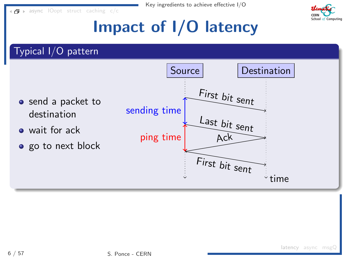$\blacksquare$  [async](#page-4-0) [IOopt](#page-33-0) [struct](#page-70-0) [caching](#page-107-0) [c/c](#page-122-0)





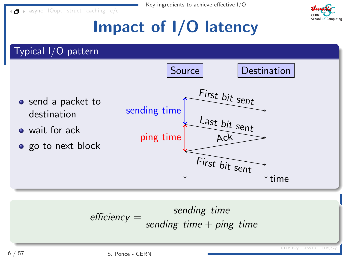$\blacksquare$  [async](#page-4-0) [IOopt](#page-33-0) [struct](#page-70-0) [caching](#page-107-0) [c/c](#page-122-0)







$$
\text{efficiency} = \frac{\text{ sending time}}{\text{ sending time} + \text{ping time}}
$$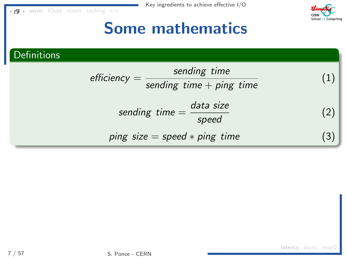[async](#page-4-0) [IOopt](#page-33-0) [struct](#page-70-0) [caching](#page-107-0) [c/c](#page-122-0)



### Some mathematics

### **Definitions**

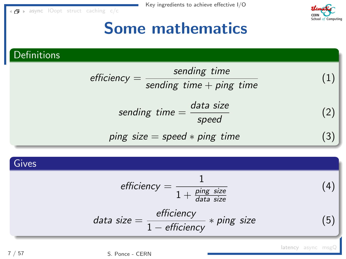$\blacksquare$  [async](#page-4-0) [IOopt](#page-33-0) [struct](#page-70-0) [caching](#page-107-0) [c/c](#page-122-0)



### Some mathematics

**Definitions** 



#### Gives

$$
\text{efficiency} = \frac{1}{1 + \frac{\text{ping size}}{\text{data size}}}
$$
(4)  
data size =  $\frac{\text{efficiency}}{1 - \text{efficiency}} * \text{ping size}$  (5)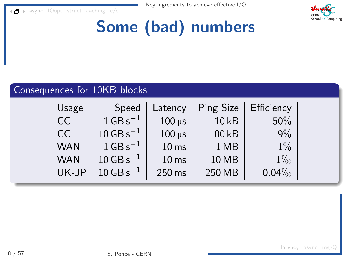$\blacksquare$  [async](#page-4-0) [IOopt](#page-33-0) [struct](#page-70-0) [caching](#page-107-0) [c/c](#page-122-0)



# Some (bad) numbers

### Consequences for 10KB blocks

| Usage      | Speed                   | Latency          | Ping Size | Efficiency |
|------------|-------------------------|------------------|-----------|------------|
| CC.        | $1$ GB s <sup>-1</sup>  | $100 \,\mu s$    | 10 kB     | 50%        |
| CC.        | $10$ GB s <sup>-1</sup> | $100 \,\mu s$    | 100 kB    | 9%         |
| <b>WAN</b> | $1$ GB s <sup>-1</sup>  | 10 <sub>ms</sub> | 1 MB      | $1\%$      |
| <b>WAN</b> | $10$ GB s <sup>-1</sup> | 10 <sub>ms</sub> | 10 MB     | $1\%$      |
| UK-JP      | $10$ GB s <sup>-1</sup> | 250 ms           | 250 MB    | $0.04\%$   |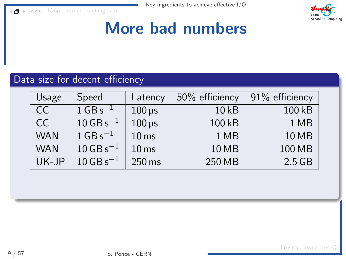$\blacksquare$  [async](#page-4-0) [IOopt](#page-33-0) [struct](#page-70-0) [caching](#page-107-0) [c/c](#page-122-0)



## More bad numbers

### Data size for decent efficiency

| Usage      | Speed                   | Latency          | 50% efficiency | 91% efficiency |
|------------|-------------------------|------------------|----------------|----------------|
| CC         | $1$ GB s <sup>-1</sup>  | $100 \,\mu s$    | 10 kB          | 100 kB         |
| CC         | $10$ GB s <sup>-1</sup> | $100 \,\mu s$    | 100 kB         | 1 MB           |
| <b>WAN</b> | $1$ GB s <sup>-1</sup>  | 10 <sub>ms</sub> | 1 MB           | 10 MB          |
| <b>WAN</b> | $10$ GB s <sup>-1</sup> | 10 <sub>ms</sub> | 10 MB          | 100 MB         |
| UK-JP      | $10$ GB s <sup>-1</sup> | 250 ms           | 250 MB         | $2.5$ GB       |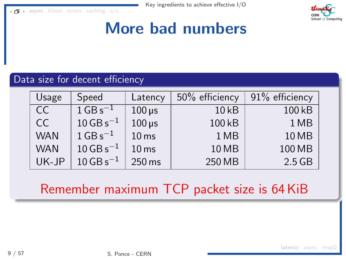[async](#page-4-0) [IOopt](#page-33-0) [struct](#page-70-0) [caching](#page-107-0) [c/c](#page-122-0) n n



## More bad numbers

### Data size for decent efficiency

| Usage         | Speed                   | Latency          | 50% efficiency | 91% efficiency |
|---------------|-------------------------|------------------|----------------|----------------|
| CC.           | $1$ GB s <sup>-1</sup>  | $100 \,\mu s$    | 10 kB          | 100 kB         |
| <sub>CC</sub> | $10$ GB s <sup>-1</sup> | $100 \,\mu s$    | 100 kB         | 1 MB           |
| <b>WAN</b>    | $1$ GB s <sup>-1</sup>  | 10 <sub>ms</sub> | 1 MB           | 10 MB          |
| <b>WAN</b>    | $10$ GB s <sup>-1</sup> | 10 <sub>ms</sub> | 10 MB          | 100 MB         |
| UK-JP         | $10$ GB s <sup>-1</sup> | 250 ms           | 250 MB         | $2.5$ GB       |

Remember maximum TCP packet size is 64 KiB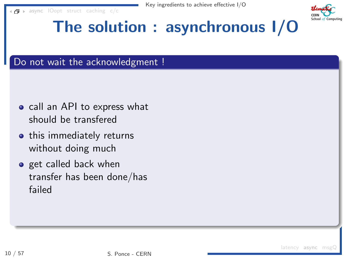<span id="page-20-0"></span> $\blacksquare$  [async](#page-4-0) [IOopt](#page-33-0) [struct](#page-70-0) [caching](#page-107-0) [c/c](#page-122-0)



# The solution : asynchronous I/O

- call an API to express what should be transfered
- this immediately returns without doing much
- **o** get called back when transfer has been done/has failed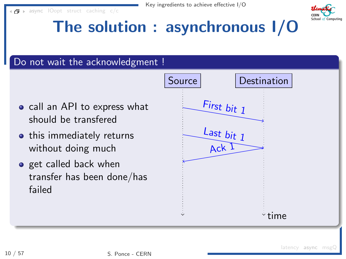$\blacksquare$  [async](#page-4-0) [IOopt](#page-33-0) [struct](#page-70-0) [caching](#page-107-0) [c/c](#page-122-0)



# The solution : asynchronous I/O

- call an API to express what should be transfered
- this immediately returns without doing much
- **o** get called back when transfer has been done/has failed

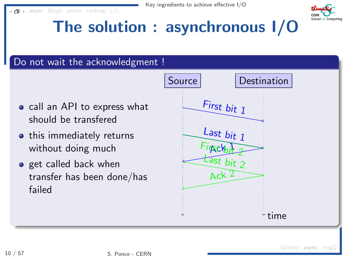$\blacksquare$  [async](#page-4-0) [IOopt](#page-33-0) [struct](#page-70-0) [caching](#page-107-0) [c/c](#page-122-0)



# The solution : asynchronous I/O

- call an API to express what should be transfered
- this immediately returns without doing much
- **o** get called back when transfer has been done/has failed

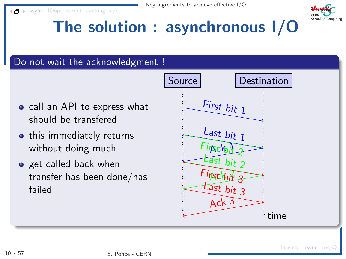$\blacksquare$  [async](#page-4-0) [IOopt](#page-33-0) [struct](#page-70-0) [caching](#page-107-0) [c/c](#page-122-0)



# The solution : asynchronous I/O

- call an API to express what should be transfered
- this immediately returns without doing much
- **o** get called back when transfer has been done/has failed

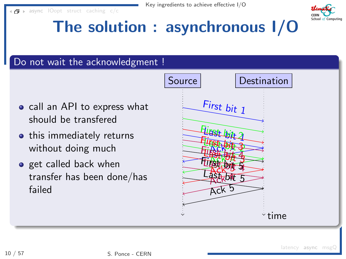<span id="page-24-0"></span> $\blacksquare$  [async](#page-4-0) [IOopt](#page-33-0) [struct](#page-70-0) [caching](#page-107-0) [c/c](#page-122-0)



# The solution : asynchronous I/O

- call an API to express what should be transfered
- this immediately returns without doing much
- **o** get called back when transfer has been done/has failed

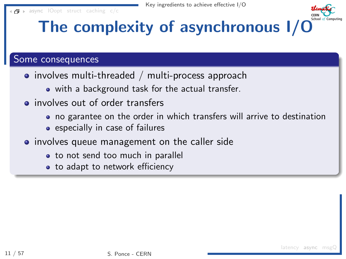[async](#page-4-0) [IOopt](#page-33-0) [struct](#page-70-0) [caching](#page-107-0) [c/c](#page-122-0)

# The complexity of asynchronous I/O

### Some consequences

- $\bullet$  involves multi-threaded / multi-process approach
	- with a background task for the actual transfer.
- involves out of order transfers
	- no garantee on the order in which transfers will arrive to destination
	- especially in case of failures
- **•** involves queue management on the caller side
	- to not send too much in parallel
	- to adapt to network efficiency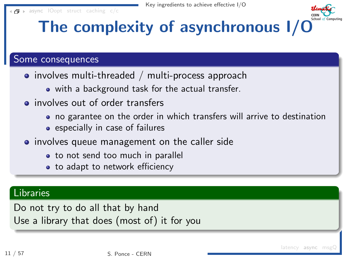# The complexity of asynchronous I/O

### Some consequences

- $\bullet$  involves multi-threaded / multi-process approach
	- with a background task for the actual transfer.
- involves out of order transfers
	- no garantee on the order in which transfers will arrive to destination

[latency](#page-5-0) [async](#page-20-0) msg

- especially in case of failures
- **•** involves queue management on the caller side
	- to not send too much in parallel
	- to adapt to network efficiency

### Libraries

Do not try to do all that by hand Use a library that does (most of) it for you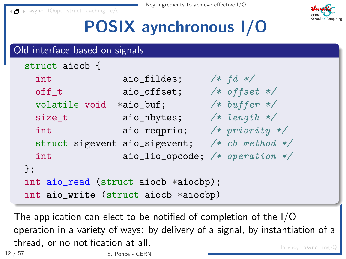

# POSIX aynchronous I/O

### Old interface based on signals

```
struct aiocb {
  int \qquad \qquad \text{aio}_\text{}</} aio\qquad \qquad \text{if } \mathcal{N} \text{ is } \mathcal{N}off_t aio_offset; /* offset */
  volatile void *aio_buf; /* buffer */
  size_t aio_nbytes; /* length */
  int aio_reqprio; /* priority */
  struct sigevent aio_sigevent; /* cb method */
  int aio_lio_opcode; /* operation */
};
int aio_read (struct aiocb *aiocbp);
int aio_write (struct aiocb *aiocbp)
```
[latency](#page-5-0) [async](#page-20-0) msgC The application can elect to be notified of completion of the I/O operation in a variety of ways: by delivery of a signal, by instantiation of a thread, or no notification at all.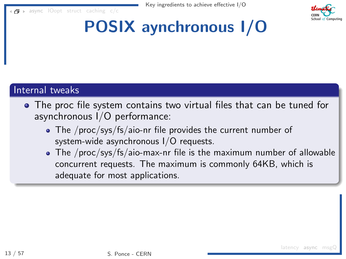[async](#page-4-0) [IOopt](#page-33-0) [struct](#page-70-0) [caching](#page-107-0) [c/c](#page-122-0)



# POSIX aynchronous I/O

### Internal tweaks

- The proc file system contains two virtual files that can be tuned for asynchronous I/O performance:
	- The /proc/sys/fs/aio-nr file provides the current number of system-wide asynchronous I/O requests.
	- The /proc/sys/fs/aio-max-nr file is the maximum number of allowable concurrent requests. The maximum is commonly 64KB, which is adequate for most applications.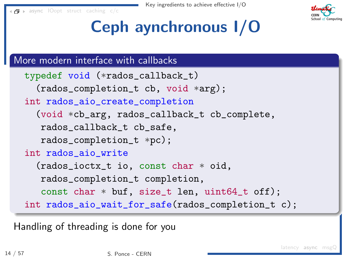

# Ceph aynchronous I/O

More modern interface with callbacks

```
typedef void (*rados_callback_t)
  (rados_completion_t cb, void *arg);
int rados_aio_create_completion
  (void *cb_arg, rados_callback_t cb_complete,
  rados_callback_t cb_safe,
  rados_completion_t *pc);
int rados_aio_write
  (rados_ioctx_t io, const char * oid,
  rados_completion_t completion,
   const char * buf, size_t len, uint64_t off);
int rados_aio_wait_for_safe(rados_completion_t c);
```
Handling of threading is done for you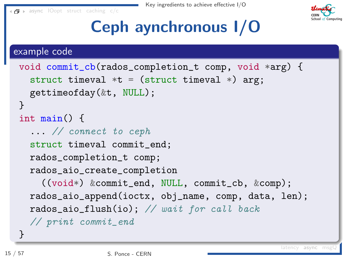

# Ceph aynchronous I/O

### example code

```
void commit_cb(rados_completion_t comp, void *arg) {
  struct timeval *t = (struct\ timeval *) arg;
  gettimeofday(&t, NULL);
}
int main() {
  ... // connect to ceph
  struct timeval commit_end;
  rados_completion_t comp;
  rados_aio_create_completion
    ((void*) &commit_end, NULL, commit_cb, &comp);
  rados_aio_append(ioctx, obj_name, comp, data, len);
  rados_aio_flush(io); // wait for call back
  // print commit_end
}
```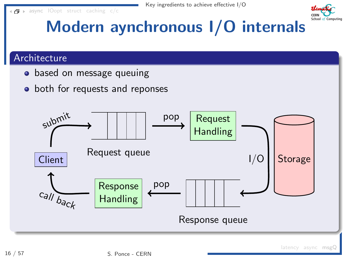

# <span id="page-31-0"></span>Modern aynchronous I/O internals

### Architecture

- based on message queuing
- both for requests and reponses

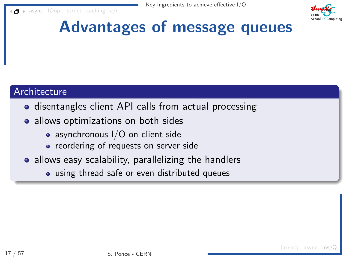[async](#page-4-0) [IOopt](#page-33-0) [struct](#page-70-0) [caching](#page-107-0) [c/c](#page-122-0)



### Advantages of message queues

#### Architecture

- disentangles client API calls from actual processing
- allows optimizations on both sides
	- asynchronous I/O on client side
	- reordering of requests on server side
- allows easy scalability, parallelizing the handlers
	- using thread safe or even distributed queues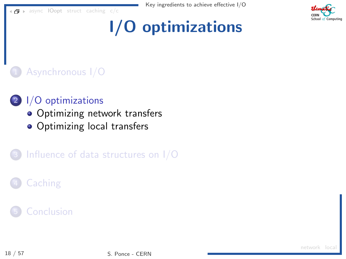<span id="page-33-0"></span> $\blacksquare$  [async](#page-4-0) [IOopt](#page-33-0) [struct](#page-70-0) [caching](#page-107-0) [c/c](#page-122-0)



# [I/O optimizations](#page-33-0)

### [Asynchronous I/O](#page-4-0)

### 2 [I/O optimizations](#page-33-0)

- **[Optimizing network transfers](#page-34-0)**
- [Optimizing local transfers](#page-42-0)

Influence of data structures on  $1/O$ 

### **[Caching](#page-107-0)**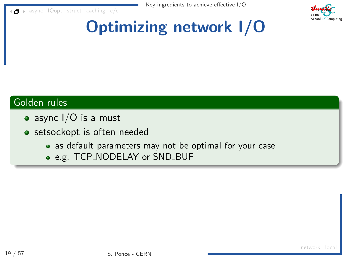<span id="page-34-0"></span> $\blacksquare$  > [async](#page-4-0) [IOopt](#page-33-0) [struct](#page-70-0) [caching](#page-107-0) [c/c](#page-122-0)



# Optimizing network I/O

### Golden rules

- async  $I/O$  is a must
- **•** setsockopt is often needed
	- as default parameters may not be optimal for your case
	- e.g. TCP\_NODELAY or SND\_BUF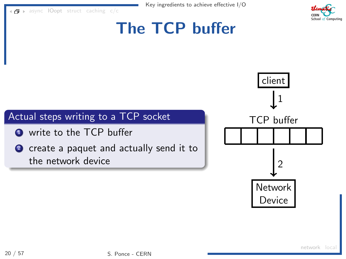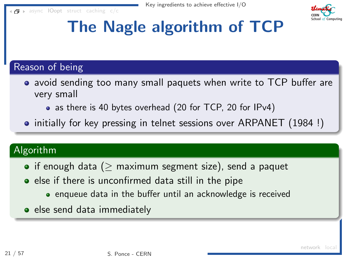

# The Nagle algorithm of TCP

#### Reason of being

- avoid sending too many small paquets when write to TCP buffer are very small
	- as there is 40 bytes overhead (20 for TCP, 20 for IPv4)
- initially for key pressing in telnet sessions over ARPANET (1984!)

#### Algorithm

- if enough data ( $\geq$  maximum segment size), send a paquet
- else if there is unconfirmed data still in the pipe
	- enqueue data in the buffer until an acknowledge is received
- else send data immediately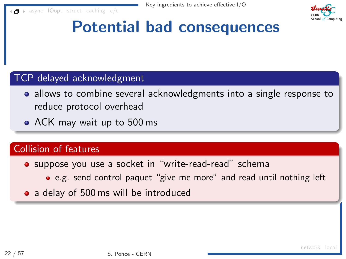[async](#page-4-0) [IOopt](#page-33-0) [struct](#page-70-0) [caching](#page-107-0) [c/c](#page-122-0)



### Potential bad consequences

#### TCP delayed acknowledgment

- allows to combine several acknowledgments into a single response to reduce protocol overhead
- ACK may wait up to 500 ms

#### Collision of features

- suppose you use a socket in "write-read-read" schema
	- e.g. send control paquet "give me more" and read until nothing left
- a delay of 500 ms will be introduced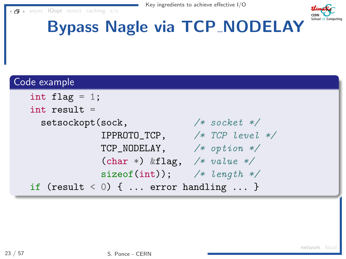$\blacksquare$  > [async](#page-4-0) [IOopt](#page-33-0) [struct](#page-70-0) [caching](#page-107-0) [c/c](#page-122-0)



# Bypass Nagle via TCP NODELAY

#### Code example

```
int flag = 1;
int result =setsockopt(sock, /* socket */IPPROTO_TCP, /* TCP level */
            TCP_NODELAY, /* option */(char *) &flag, /* value */
            sizeof(int)); /* length */
if (result \langle 0 \rangle { ... error handling ... }
```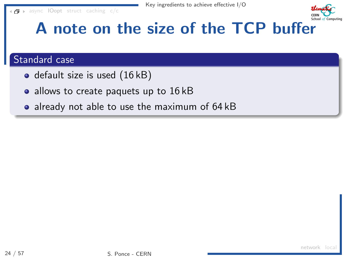

# A note on the size of the TCP buffer

#### Standard case

- default size is used (16 kB)
- allows to create paquets up to 16 kB
- already not able to use the maximum of 64 kB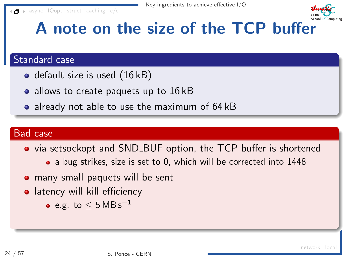

# A note on the size of the TCP buffer

#### Standard case

- $\bullet$  default size is used  $(16 \text{ kB})$
- allows to create paquets up to  $16 \text{ kB}$
- already not able to use the maximum of 64 kB

#### Bad case

- via setsockopt and SND\_BUF option, the TCP buffer is shortened
	- a bug strikes, size is set to 0, which will be corrected into 1448
- **•** many small paquets will be sent
- latency will kill efficiency  $\bullet$ 
	- e.g. to  $\leq 5\,\rm{MB}\,\rm{s}^{-1}$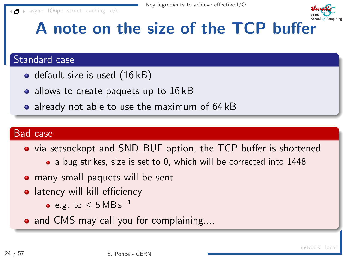

# A note on the size of the TCP buffer

#### Standard case

- $\bullet$  default size is used  $(16 \text{ kB})$
- allows to create paquets up to  $16 \text{ kB}$
- already not able to use the maximum of 64 kB

#### Bad case

- via setsockopt and SND\_BUF option, the TCP buffer is shortened
	- a bug strikes, size is set to 0, which will be corrected into 1448
- **•** many small paquets will be sent
- latency will kill efficiency  $\bullet$ 
	- e.g. to  $\leq 5\,\rm{MB}\,\rm{s}^{-1}$
- and CMS may call you for complaining....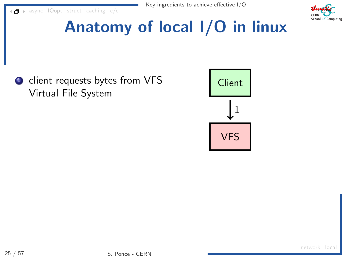

<span id="page-42-0"></span> $\blacksquare$  [async](#page-4-0) [IOopt](#page-33-0) [struct](#page-70-0) [caching](#page-107-0) [c/c](#page-122-0)



# Anatomy of local I/O in linux

**O** client requests bytes from VFS Virtual File System

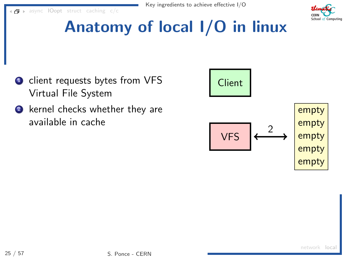

# Anatomy of local I/O in linux

- **1** client requests bytes from VFS Virtual File System
- **2** kernel checks whether they are available in cache

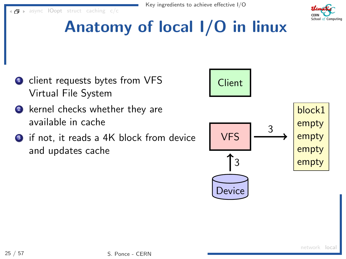$\blacksquare$  > [async](#page-4-0) lOopt [struct](#page-70-0) [caching](#page-107-0) [c/c](#page-122-0)

# School of Computing

# Anatomy of local I/O in linux

- **1** client requests bytes from VFS Virtual File System
- 2 kernel checks whether they are available in cache
- <sup>3</sup> if not, it reads a 4K block from device and updates cache

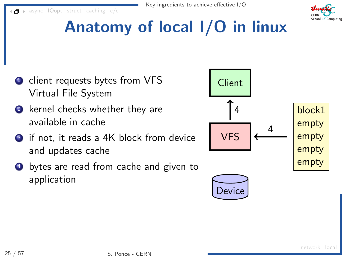$\blacksquare$  [async](#page-4-0) [IOopt](#page-33-0) [struct](#page-70-0) [caching](#page-107-0) [c/c](#page-122-0)



# Anatomy of local I/O in linux

- **1** client requests bytes from VFS Virtual File System
- 2 kernel checks whether they are available in cache
- <sup>3</sup> if not, it reads a 4K block from device and updates cache
- <sup>4</sup> bytes are read from cache and given to application

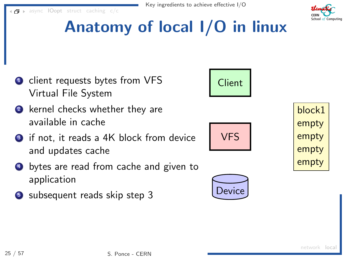<span id="page-46-0"></span> $\blacksquare$  [async](#page-4-0) [IOopt](#page-33-0) [struct](#page-70-0) [caching](#page-107-0) [c/c](#page-122-0)

# Anatomy of local I/O in linux

- **1** client requests bytes from VFS Virtual File System 2 kernel checks whether they are
- available in cache
- <sup>3</sup> if not, it reads a 4K block from device and updates cache
- <sup>4</sup> bytes are read from cache and given to application
- **5** subsequent reads skip step 3











VFS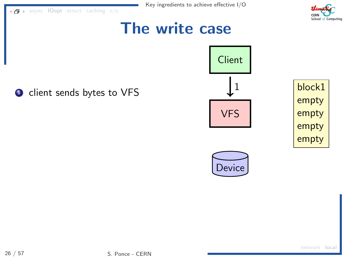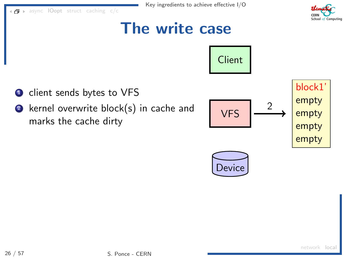**Client** 

The write case



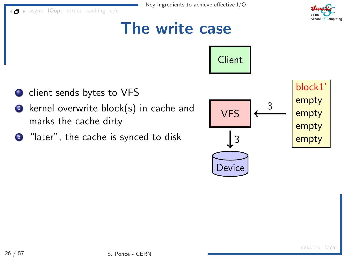The write case

- **1** client sends bytes to VFS <sup>2</sup> kernel overwrite block(s) in cache and marks the cache dirty
- **3** "later", the cache is synced to disk



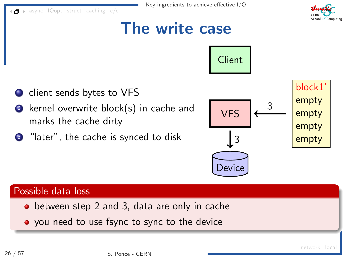



- **1** client sends bytes to VFS <sup>2</sup> kernel overwrite block(s) in cache and marks the cache dirty
- **3** "later", the cache is synced to disk





# The write case

Possible data loss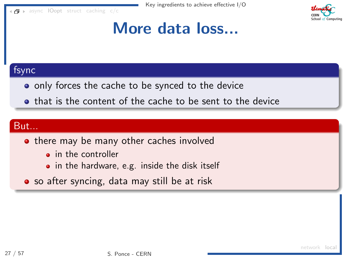[async](#page-4-0) [IOopt](#page-33-0) [struct](#page-70-0) [caching](#page-107-0) [c/c](#page-122-0)



### More data loss...

#### fsync

- o only forces the cache to be synced to the device
- **•** that is the content of the cache to be sent to the device

#### But...

- there may be many other caches involved
	- **a** in the controller
	- in the hardware, e.g. inside the disk itself
- **•** so after syncing, data may still be at risk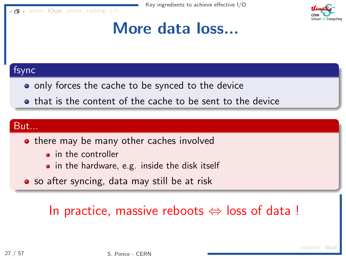[async](#page-4-0) [IOopt](#page-33-0) [struct](#page-70-0) [caching](#page-107-0) [c/c](#page-122-0)



### More data loss...

#### fsync

- o only forces the cache to be synced to the device
- **•** that is the content of the cache to be sent to the device

#### But...

- **•** there may be many other caches involved
	- **a** in the controller
	- in the hardware, e.g. inside the disk itself
- **•** so after syncing, data may still be at risk

### In practice, massive reboots  $\Leftrightarrow$  loss of data !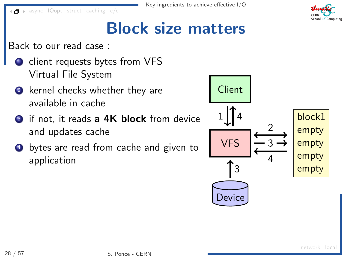

### Block size matters

Back to our read case :

- **1** client requests bytes from VFS Virtual File System
- 2 kernel checks whether they are available in cache
- <sup>3</sup> if not, it reads a 4K block from device and updates cache
- $\bullet$  bytes are read from cache and given to application

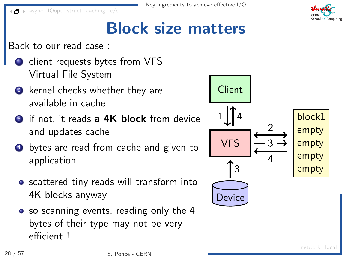

### Block size matters

Back to our read case :

- **1** client requests bytes from VFS Virtual File System
- 2 kernel checks whether they are available in cache
- <sup>3</sup> if not, it reads a 4K block from device and updates cache
- <sup>4</sup> bytes are read from cache and given to application
	- **•** scattered tiny reads will transform into 4K blocks anyway
	- so scanning events, reading only the 4 bytes of their type may not be very efficient !

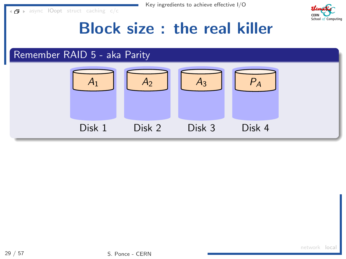$\blacksquare$  [async](#page-4-0) [IOopt](#page-33-0) [struct](#page-70-0) [caching](#page-107-0) [c/c](#page-122-0)



### Block size : the real killer

#### Remember RAID 5 - aka Parity

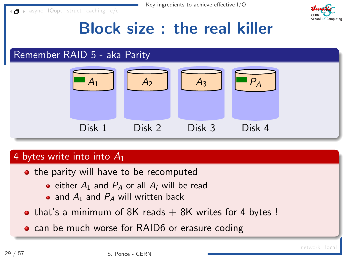

### Block size : the real killer

#### Remember RAID 5 - aka Parity



#### 4 bytes write into into  $A_1$

- the parity will have to be recomputed
	- either  $A_1$  and  $P_A$  or all  $A_i$  will be read
	- and  $A_1$  and  $P_A$  will written back
- that's a minimum of 8K reads  $+$  8K writes for 4 bytes !
- **•** can be much worse for RAID6 or erasure coding

[network](#page-34-0) [local](#page-42-0)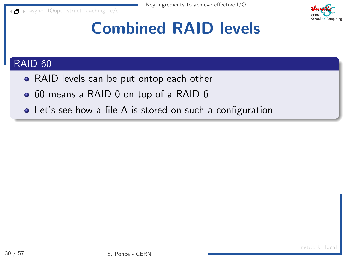[async](#page-4-0) [IOopt](#page-33-0) [struct](#page-70-0) [caching](#page-107-0) [c/c](#page-122-0)



### Combined RAID levels

#### RAID 60

- RAID levels can be put ontop each other
- 60 means a RAID 0 on top of a RAID 6
- Let's see how a file A is stored on such a configuration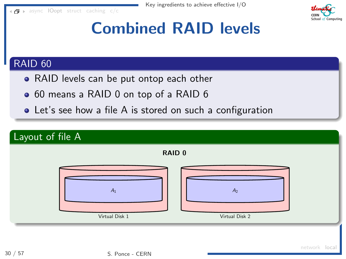[async](#page-4-0) [IOopt](#page-33-0) [struct](#page-70-0) [caching](#page-107-0) [c/c](#page-122-0)



## Combined RAID levels

#### RAID 60

- RAID levels can be put ontop each other
- 60 means a RAID 0 on top of a RAID 6
- Let's see how a file A is stored on such a configuration

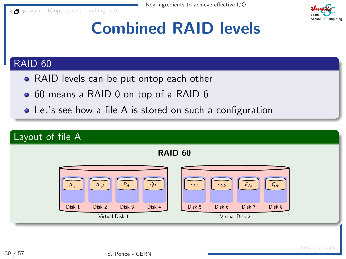[async](#page-4-0) [IOopt](#page-33-0) [struct](#page-70-0) [caching](#page-107-0) [c/c](#page-122-0)



## Combined RAID levels

#### RAID 60

- RAID levels can be put ontop each other
- 60 means a RAID 0 on top of a RAID 6
- Let's see how a file A is stored on such a configuration

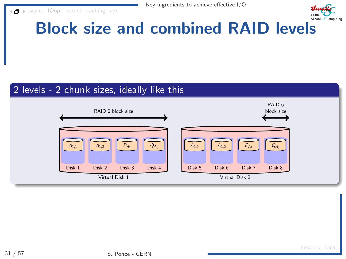

# Block size and combined RAID levels

#### 2 levels - 2 chunk sizes, ideally like this

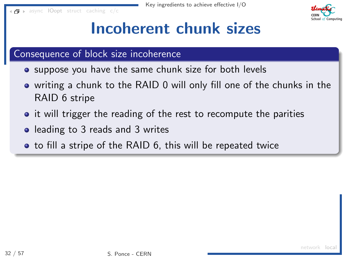

### Incoherent chunk sizes

#### Consequence of block size incoherence

- suppose you have the same chunk size for both levels
- writing a chunk to the RAID 0 will only fill one of the chunks in the RAID 6 stripe
- it will trigger the reading of the rest to recompute the parities
- leading to 3 reads and 3 writes
- to fill a stripe of the RAID 6, this will be repeated twice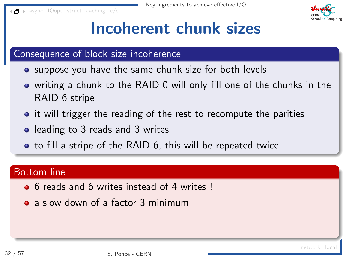

### Incoherent chunk sizes

#### Consequence of block size incoherence

- suppose you have the same chunk size for both levels
- writing a chunk to the RAID 0 will only fill one of the chunks in the RAID 6 stripe
- it will trigger the reading of the rest to recompute the parities
- leading to 3 reads and 3 writes
- to fill a stripe of the RAID 6, this will be repeated twice

#### Bottom line

- 6 reads and 6 writes instead of 4 writes !
- a slow down of a factor 3 minimum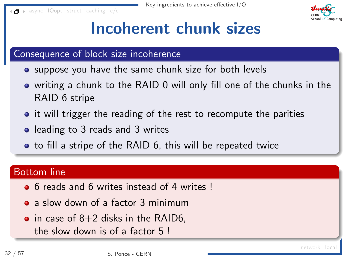

### Incoherent chunk sizes

#### Consequence of block size incoherence

- suppose you have the same chunk size for both levels
- writing a chunk to the RAID 0 will only fill one of the chunks in the RAID 6 stripe
- it will trigger the reading of the rest to recompute the parities
- leading to 3 reads and 3 writes
- to fill a stripe of the RAID 6, this will be repeated twice

#### Bottom line

- 6 reads and 6 writes instead of 4 writes !
- a slow down of a factor 3 minimum
- $\bullet$  in case of 8+2 disks in the RAID6, the slow down is of a factor 5 !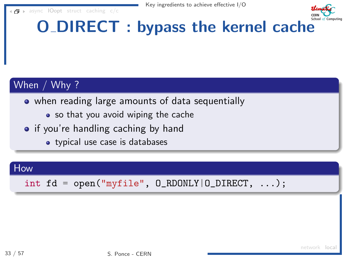

# O DIRECT : bypass the kernel cache

### When / Why ?

- when reading large amounts of data sequentially
	- so that you avoid wiping the cache
- if you're handling caching by hand
	- typical use case is databases

#### How

int  $fd = open("myfile", 0_RDOMLY|0_DIRECT, ...);$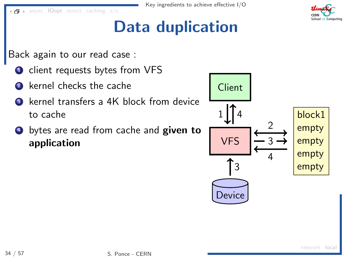

### Data duplication

Back again to our read case :

- **1** client requests bytes from VFS
- **2** kernel checks the cache
- <sup>3</sup> kernel transfers a 4K block from device to cache
- <sup>4</sup> bytes are read from cache and **given to** application

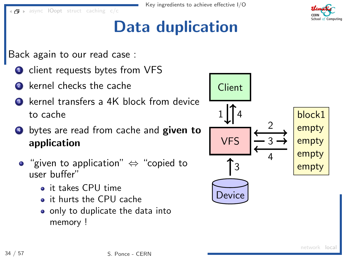

### Data duplication

Back again to our read case :

- **1** client requests bytes from VFS
- **2** kernel checks the cache
- <sup>3</sup> kernel transfers a 4K block from device to cache
- <sup>4</sup> bytes are read from cache and **given to** application
- $\bullet$  "given to application"  $\Leftrightarrow$  "copied to user buffer"
	- it takes CPU time
	- it hurts the CPU cache
	- only to duplicate the data into memory !

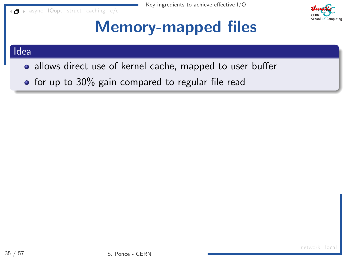

 $\bullet$  for up to 30% gain compared to regular file read

School of Computing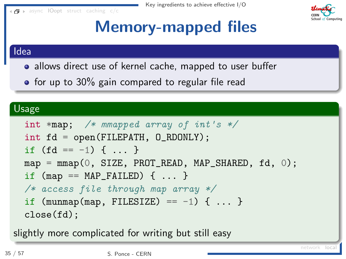$\blacksquare$  > [async](#page-4-0) [IOopt](#page-33-0) [struct](#page-70-0) [caching](#page-107-0) [c/c](#page-122-0)



### Memory-mapped files

#### Idea

- allows direct use of kernel cache, mapped to user buffer
- $\bullet$  for up to 30% gain compared to regular file read

#### Usage

int  $\ast$ map; /\* mmapped array of int's  $\ast$ / int fd = open(FILEPATH, O\_RDONLY); if  $(fd == -1) { ... }$ map = mmap(0, SIZE, PROT\_READ, MAP\_SHARED, fd, 0); if  $(\text{map} == \text{MAP\_FAILED}) \{ ... \}$ /\* access file through map array \*/ if  $(munmap(map, FILESIZE) == -1)$   $\{ \ldots \}$ close(fd);

slightly more complicated for writing but still easy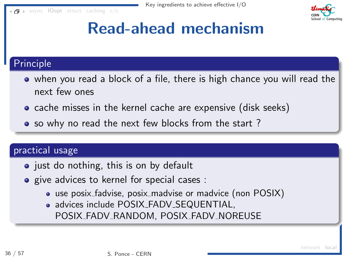[async](#page-4-0) [IOopt](#page-33-0) [struct](#page-70-0) [caching](#page-107-0) [c/c](#page-122-0)



## Read-ahead mechanism

#### Principle

- when you read a block of a file, there is high chance you will read the next few ones
- cache misses in the kernel cache are expensive (disk seeks)
- so why no read the next few blocks from the start?

#### practical usage

- $\bullet$  just do nothing, this is on by default
- **o** give advices to kernel for special cases :
	- use posix fadvise, posix madvise or madvice (non POSIX)
	- advices include POSIX\_FADV\_SEQUENTIAL, POSIX FADV RANDOM, POSIX FADV NOREUSE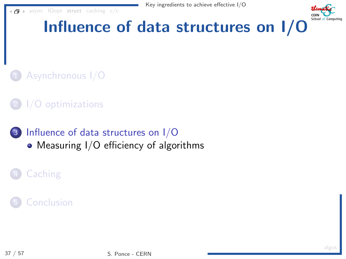

# <span id="page-70-0"></span>[Influence of data structures on I/O](#page-70-0)

### [Asynchronous I/O](#page-4-0)

### [I/O optimizations](#page-33-0)

### 3 [Influence of data structures on I/O](#page-70-0) • [Measuring I/O efficiency of algorithms](#page-71-0)

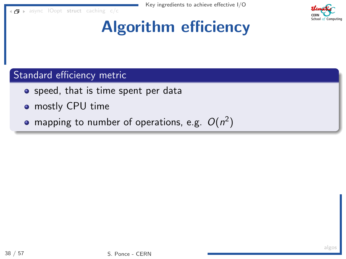<span id="page-71-0"></span>[async](#page-4-0) [IOopt](#page-33-0) [struct](#page-70-0) [caching](#page-107-0) [c/c](#page-122-0)



## Algorithm efficiency

#### Standard efficiency metric

- speed, that is time spent per data
- **o** mostly CPU time
- mapping to number of operations, e.g.  $O(n^2)$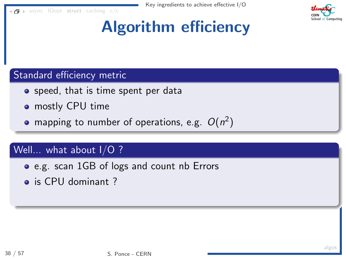[async](#page-4-0) [IOopt](#page-33-0) [struct](#page-70-0) [caching](#page-107-0) [c/c](#page-122-0)



### Algorithm efficiency

#### Standard efficiency metric

- **•** speed, that is time spent per data
- **o** mostly CPU time
- mapping to number of operations, e.g.  $O(n^2)$

#### Well... what about I/O ?

- e.g. scan 1GB of logs and count nb Errors
- **o** is CPU dominant?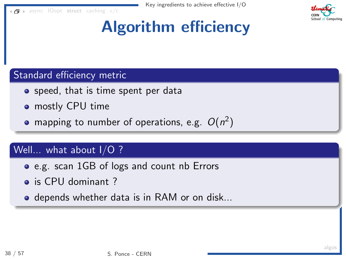<span id="page-73-0"></span>[async](#page-4-0) [IOopt](#page-33-0) [struct](#page-70-0) [caching](#page-107-0) [c/c](#page-122-0)



### Algorithm efficiency

#### Standard efficiency metric

- **•** speed, that is time spent per data
- **o** mostly CPU time
- mapping to number of operations, e.g.  $O(n^2)$

#### Well... what about I/O ?

- e.g. scan 1GB of logs and count nb Errors
- **o** is CPU dominant?
- **o** depends whether data is in RAM or on disk...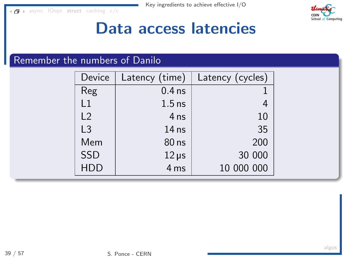

### Data access latencies

### Remember the numbers of Danilo

| Device         | Latency (time)   | Latency (cycles) |
|----------------|------------------|------------------|
| Reg            | $0.4$ ns         |                  |
| L1             | $1.5$ ns         | 4                |
| $\overline{2}$ | 4 <sub>ns</sub>  | 10               |
| L <sub>3</sub> | 14 <sub>ns</sub> | 35               |
| Mem            | $80$ ns          | 200              |
| <b>SSD</b>     | $12 \mu s$       | 30 000           |
| HDD            | 4 <sub>ms</sub>  | 10 000 000       |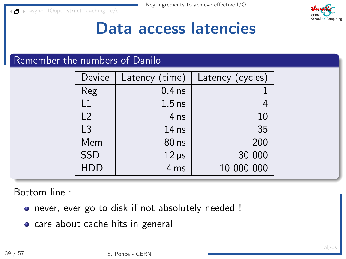

### Data access latencies

#### Remember the numbers of Danilo

| Device         | Latency (time)   | Latency (cycles) |
|----------------|------------------|------------------|
| Reg            | $0.4$ ns         |                  |
| L1             | $1.5$ ns         | 4                |
| L <sub>2</sub> | 4 <sub>ns</sub>  | 10               |
| L <sub>3</sub> | 14 <sub>ns</sub> | 35               |
| Mem            | $80$ ns          | 200              |
| <b>SSD</b>     | $12 \mu s$       | 30 000           |
| HDD            | 4 <sub>ms</sub>  | 10 000 000       |

Bottom line :

- o never, ever go to disk if not absolutely needed !
- care about cache hits in general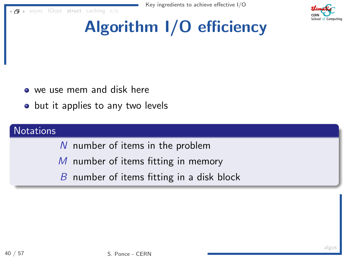[async](#page-4-0) [IOopt](#page-33-0) [struct](#page-70-0) [caching](#page-107-0) [c/c](#page-122-0)



# Algorithm I/O efficiency

- we use mem and disk here
- but it applies to any two levels

#### **Notations**

 $N$  number of items in the problem

- M number of items fitting in memory
- B number of items fitting in a disk block

[algos](#page-71-0)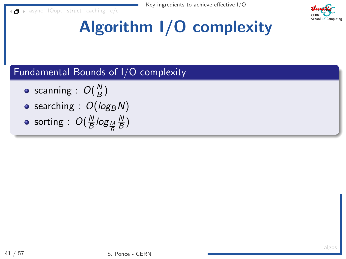[async](#page-4-0) [IOopt](#page-33-0) [struct](#page-70-0) [caching](#page-107-0) [c/c](#page-122-0)



# Algorithm I/O complexity

Fundamental Bounds of I/O complexity

- scanning :  $O(\frac{N}{B})$  $\frac{N}{B}$
- searching :  $O(log_B N)$
- sorting :  $O(\frac{N}{B})$  $\frac{N}{B}$ log $\frac{M}{B}$  $\overline{\mathsf{N}}$  $\frac{N}{B}$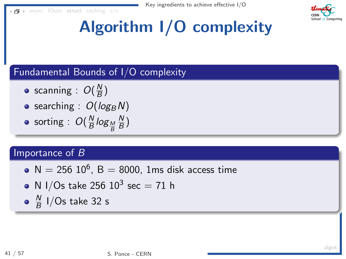[async](#page-4-0) [IOopt](#page-33-0) [struct](#page-70-0) [caching](#page-107-0) [c/c](#page-122-0)



# Algorithm I/O complexity

### Fundamental Bounds of I/O complexity

- scanning :  $O(\frac{N}{B})$  $\frac{N}{B}$
- searching :  $O(log_B N)$
- sorting :  $O(\frac{N}{B})$  $\frac{N}{B}$ log $\frac{M}{B}$  $\overline{\mathsf{N}}$  $\frac{N}{B}$

#### Importance of B

- $N = 256 10^6$ ,  $B = 8000$ , 1ms disk access time
- N I/Os take 256  $10^3$  sec = 71 h
- $\overline{\mathsf{N}}$  $\frac{N}{B}$  I/Os take 32 s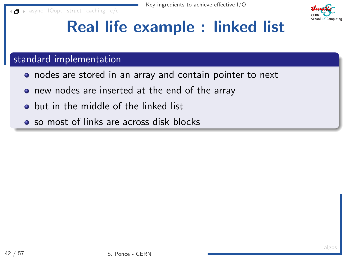[async](#page-4-0) [IOopt](#page-33-0) [struct](#page-70-0) [caching](#page-107-0) [c/c](#page-122-0)



### Real life example : linked list

- o nodes are stored in an array and contain pointer to next
- **o** new nodes are inserted at the end of the array
- but in the middle of the linked list  $\bullet$
- so most of links are across disk blocks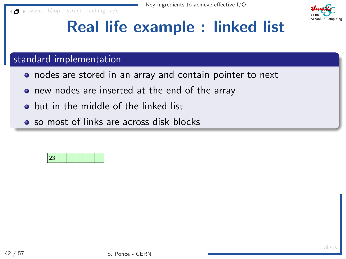[async](#page-4-0) [IOopt](#page-33-0) [struct](#page-70-0) [caching](#page-107-0) [c/c](#page-122-0)



### Real life example : linked list

- o nodes are stored in an array and contain pointer to next
- **o** new nodes are inserted at the end of the array
- but in the middle of the linked list  $\bullet$
- so most of links are across disk blocks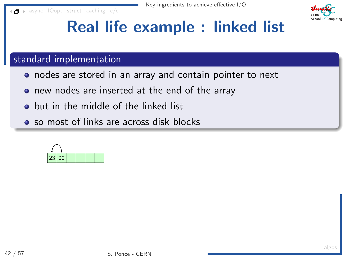[async](#page-4-0) [IOopt](#page-33-0) [struct](#page-70-0) [caching](#page-107-0) [c/c](#page-122-0)



### Real life example : linked list

- o nodes are stored in an array and contain pointer to next
- **o** new nodes are inserted at the end of the array
- but in the middle of the linked list  $\bullet$
- so most of links are across disk blocks

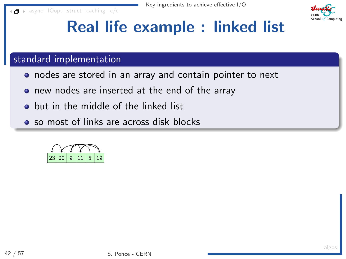[async](#page-4-0) [IOopt](#page-33-0) [struct](#page-70-0) [caching](#page-107-0) [c/c](#page-122-0)



### Real life example : linked list

- o nodes are stored in an array and contain pointer to next
- **o** new nodes are inserted at the end of the array
- but in the middle of the linked list  $\bullet$
- so most of links are across disk blocks

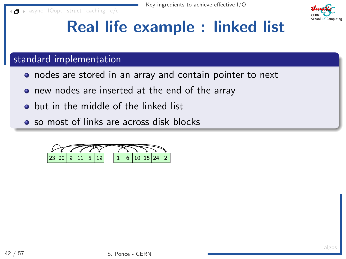[async](#page-4-0) [IOopt](#page-33-0) [struct](#page-70-0) [caching](#page-107-0) [c/c](#page-122-0)



### Real life example : linked list

### standard implementation

- o nodes are stored in an array and contain pointer to next
- **o** new nodes are inserted at the end of the array
- but in the middle of the linked list  $\bullet$
- so most of links are across disk blocks



[algos](#page-71-0)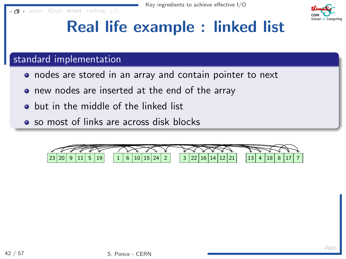[async](#page-4-0) [IOopt](#page-33-0) [struct](#page-70-0) [caching](#page-107-0) [c/c](#page-122-0)



### Real life example : linked list

- o nodes are stored in an array and contain pointer to next
- **o** new nodes are inserted at the end of the array
- but in the middle of the linked list  $\bullet$
- so most of links are across disk blocks

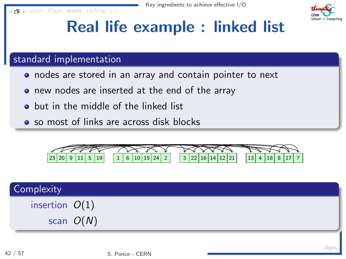[async](#page-4-0) [IOopt](#page-33-0) [struct](#page-70-0) [caching](#page-107-0) [c/c](#page-122-0)



### Real life example : linked list

- o nodes are stored in an array and contain pointer to next
- **o** new nodes are inserted at the end of the array
- but in the middle of the linked list  $\bullet$
- so most of links are across disk blocks



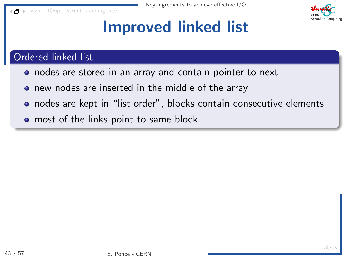

- nodes are stored in an array and contain pointer to next
- new nodes are inserted in the middle of the array  $\bullet$
- nodes are kept in "list order", blocks contain consecutive elements
- **•** most of the links point to same block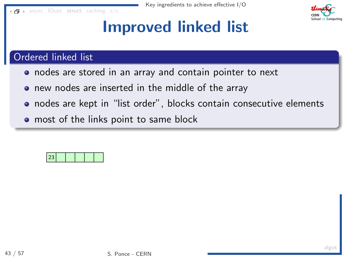

- nodes are stored in an array and contain pointer to next
- new nodes are inserted in the middle of the array  $\bullet$
- nodes are kept in "list order", blocks contain consecutive elements
- **•** most of the links point to same block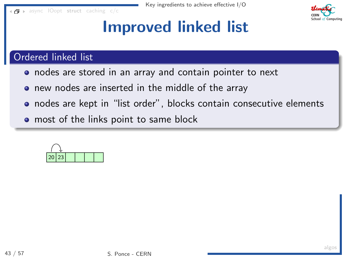

- nodes are stored in an array and contain pointer to next
- new nodes are inserted in the middle of the array  $\bullet$
- nodes are kept in "list order", blocks contain consecutive elements
- **•** most of the links point to same block

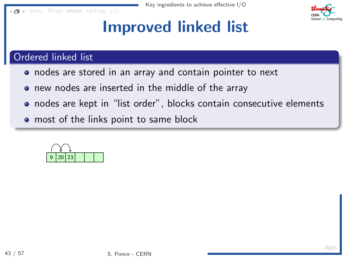

- nodes are stored in an array and contain pointer to next
- new nodes are inserted in the middle of the array  $\bullet$
- nodes are kept in "list order", blocks contain consecutive elements
- **•** most of the links point to same block

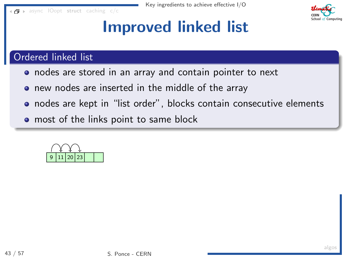

- nodes are stored in an array and contain pointer to next
- new nodes are inserted in the middle of the array  $\bullet$
- nodes are kept in "list order", blocks contain consecutive elements
- **•** most of the links point to same block

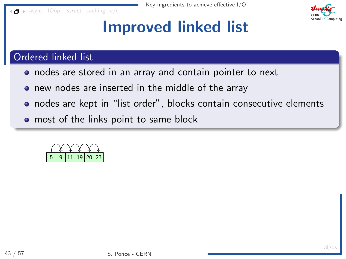

- nodes are stored in an array and contain pointer to next
- new nodes are inserted in the middle of the array  $\bullet$
- nodes are kept in "list order", blocks contain consecutive elements
- **•** most of the links point to same block

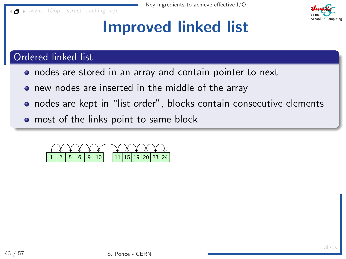

- nodes are stored in an array and contain pointer to next
- new nodes are inserted in the middle of the array  $\bullet$
- nodes are kept in "list order", blocks contain consecutive elements
- **•** most of the links point to same block

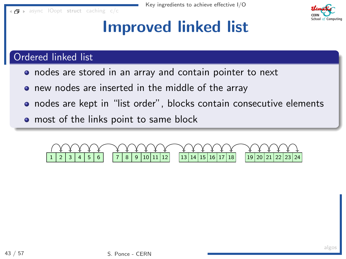

- nodes are stored in an array and contain pointer to next
- new nodes are inserted in the middle of the array  $\bullet$
- nodes are kept in "list order", blocks contain consecutive elements
- **•** most of the links point to same block

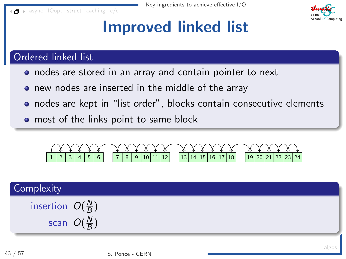

- nodes are stored in an array and contain pointer to next
- new nodes are inserted in the middle of the array  $\bullet$
- nodes are kept in "list order", blocks contain consecutive elements
- **•** most of the links point to same block



| Complexity                 |  |
|----------------------------|--|
| insertion $O(\frac{N}{R})$ |  |
| scan $O(\frac{N}{B})$      |  |
|                            |  |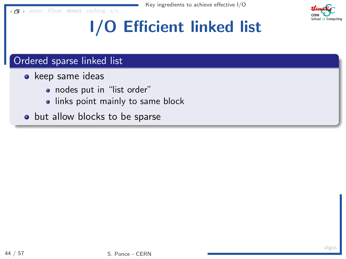[async](#page-4-0) [IOopt](#page-33-0) [struct](#page-70-0) [caching](#page-107-0) [c/c](#page-122-0)



# I/O Efficient linked list

- keep same ideas
	- nodes put in "list order"
	- **.** links point mainly to same block
- but allow blocks to be sparse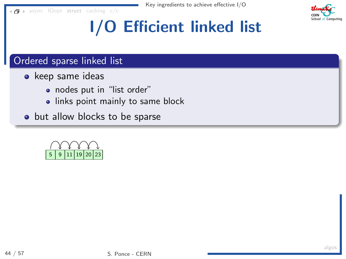[async](#page-4-0) [IOopt](#page-33-0) [struct](#page-70-0) [caching](#page-107-0) [c/c](#page-122-0)



# I/O Efficient linked list

- keep same ideas
	- nodes put in "list order"
	- **.** links point mainly to same block
- but allow blocks to be sparse

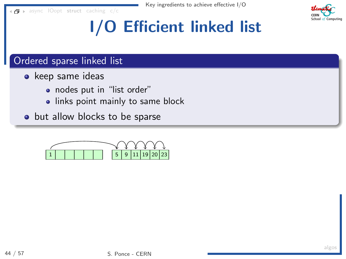[async](#page-4-0) [IOopt](#page-33-0) [struct](#page-70-0) [caching](#page-107-0) [c/c](#page-122-0)



# I/O Efficient linked list

- keep same ideas
	- nodes put in "list order"
	- **.** links point mainly to same block
- but allow blocks to be sparse

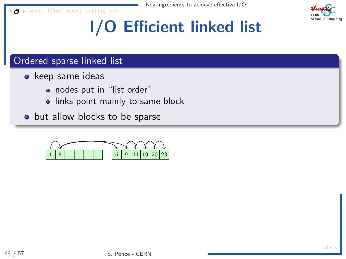[async](#page-4-0) [IOopt](#page-33-0) [struct](#page-70-0) [caching](#page-107-0) [c/c](#page-122-0)



# I/O Efficient linked list

- keep same ideas
	- nodes put in "list order"
	- **.** links point mainly to same block
- but allow blocks to be sparse

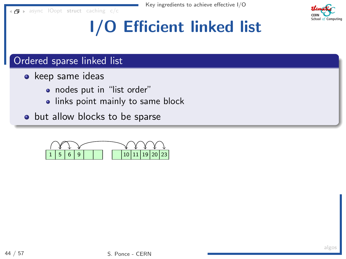[async](#page-4-0) [IOopt](#page-33-0) [struct](#page-70-0) [caching](#page-107-0) [c/c](#page-122-0)



# I/O Efficient linked list

- keep same ideas
	- nodes put in "list order"
	- **.** links point mainly to same block
- but allow blocks to be sparse

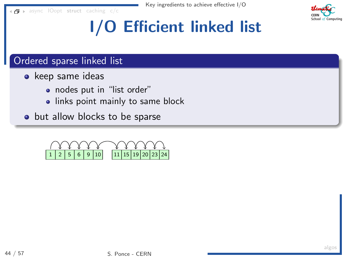[async](#page-4-0) [IOopt](#page-33-0) [struct](#page-70-0) [caching](#page-107-0) [c/c](#page-122-0)



# I/O Efficient linked list

- keep same ideas
	- nodes put in "list order"
	- **.** links point mainly to same block
- but allow blocks to be sparse

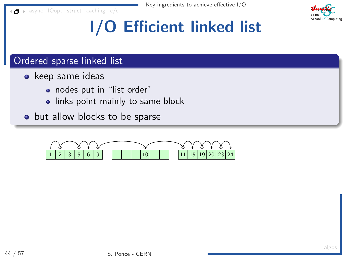[async](#page-4-0) [IOopt](#page-33-0) [struct](#page-70-0) [caching](#page-107-0) [c/c](#page-122-0)



# I/O Efficient linked list

- keep same ideas
	- nodes put in "list order"
	- **.** links point mainly to same block
- but allow blocks to be sparse

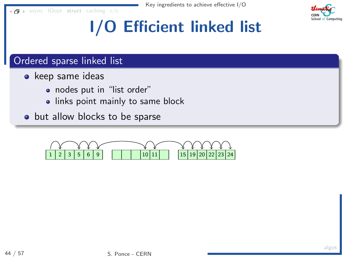[async](#page-4-0) [IOopt](#page-33-0) [struct](#page-70-0) [caching](#page-107-0) [c/c](#page-122-0)



# I/O Efficient linked list

- keep same ideas
	- nodes put in "list order"
	- **.** links point mainly to same block
- but allow blocks to be sparse

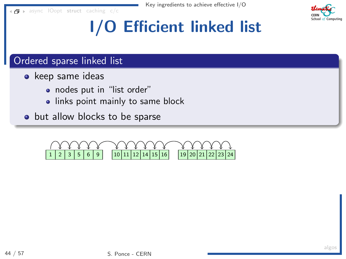[async](#page-4-0) [IOopt](#page-33-0) [struct](#page-70-0) [caching](#page-107-0) [c/c](#page-122-0)



# I/O Efficient linked list

- keep same ideas
	- nodes put in "list order"
	- links point mainly to same block
- but allow blocks to be sparse

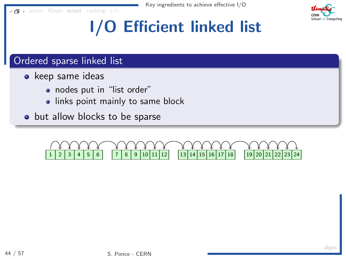[async](#page-4-0) [IOopt](#page-33-0) [struct](#page-70-0) [caching](#page-107-0) [c/c](#page-122-0)



# I/O Efficient linked list

- keep same ideas
	- nodes put in "list order"
	- **.** links point mainly to same block
- but allow blocks to be sparse

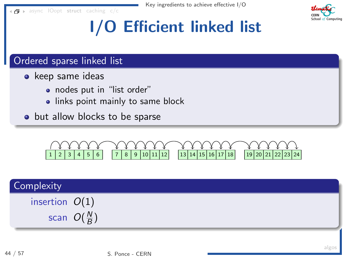[async](#page-4-0) [IOopt](#page-33-0) [struct](#page-70-0) [caching](#page-107-0) [c/c](#page-122-0)



# I/O Efficient linked list

- keep same ideas
	- nodes put in "list order"
	- links point mainly to same block
- but allow blocks to be sparse



| Complexity       |                       |
|------------------|-----------------------|
| insertion $O(1)$ |                       |
|                  | scan $O(\frac{N}{B})$ |
|                  |                       |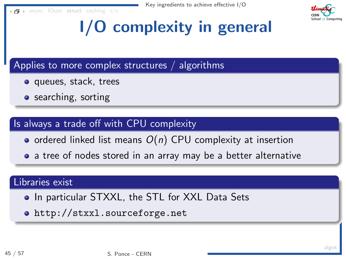[async](#page-4-0) [IOopt](#page-33-0) [struct](#page-70-0) [caching](#page-107-0) [c/c](#page-122-0)



# I/O complexity in general

Applies to more complex structures / algorithms

- **o** queues, stack, trees
- searching, sorting

#### Is always a trade off with CPU complexity

- ordered linked list means  $O(n)$  CPU complexity at insertion
- a tree of nodes stored in an array may be a better alternative

#### Libraries exist

- **•** In particular STXXL, the STL for XXL Data Sets
- <http://stxxl.sourceforge.net>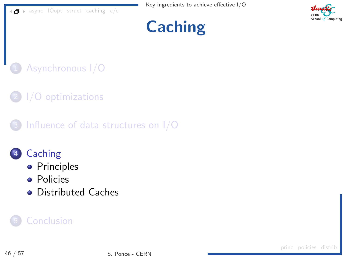

# **[Caching](#page-107-0)**

- <span id="page-107-0"></span>[Asynchronous I/O](#page-4-0)
- $1/O$  optimizations
- Influence of data structures on  $1/O$
- **[Caching](#page-107-0)** 
	- [Principles](#page-108-0)
	- [Policies](#page-112-0)
	- [Distributed Caches](#page-118-0)

### **[Conclusion](#page-122-0)**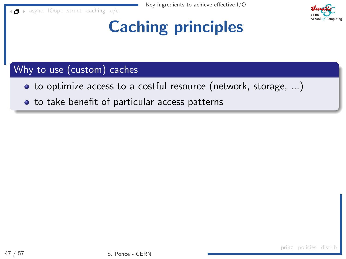<span id="page-108-0"></span>[async](#page-4-0) [IOopt](#page-33-0) [struct](#page-70-0) [caching](#page-107-0) [c/c](#page-122-0)



# Caching principles

### Why to use (custom) caches

- to optimize access to a costful resource (network, storage, ...)
- to take benefit of particular access patterns

[princ](#page-109-0) [policies](#page-112-0) distril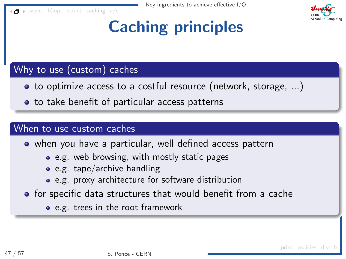<span id="page-109-0"></span>[async](#page-4-0) [IOopt](#page-33-0) [struct](#page-70-0) [caching](#page-107-0) [c/c](#page-122-0)



# Caching principles

### Why to use (custom) caches

- to optimize access to a costful resource (network, storage, ...)
- **•** to take benefit of particular access patterns

#### When to use custom caches

• when you have a particular, well defined access pattern

- e.g. web browsing, with mostly static pages
- $\bullet$  e.g. tape/archive handling
- e.g. proxy architecture for software distribution
- **•** for specific data structures that would benefit from a cache
	- e.g. trees in the root framework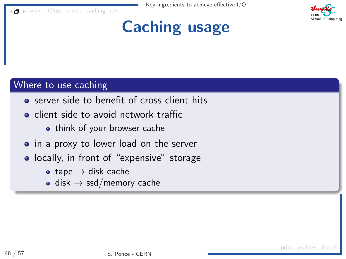[async](#page-4-0) [IOopt](#page-33-0) [struct](#page-70-0) [caching](#page-107-0) [c/c](#page-122-0)



# Caching usage

#### Where to use caching

- **•** server side to benefit of cross client hits
- **o** client side to avoid network traffic
	- think of your browser cache
- in a proxy to lower load on the server
- locally, in front of "expensive" storage
	- tape  $\rightarrow$  disk cache
	- $\bullet$  disk  $\rightarrow$  ssd/memory cache

[princ](#page-108-0) [policies](#page-112-0) distri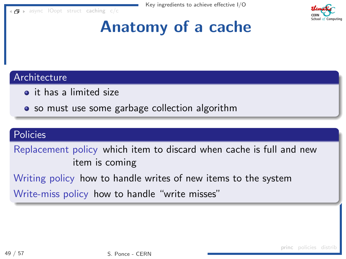[async](#page-4-0) [IOopt](#page-33-0) [struct](#page-70-0) [caching](#page-107-0) [c/c](#page-122-0)



### Anatomy of a cache

#### Architecture

- **o** it has a limited size
- so must use some garbage collection algorithm

### **Policies**

Replacement policy which item to discard when cache is full and new item is coming

Writing policy how to handle writes of new items to the system

Write-miss policy how to handle "write misses"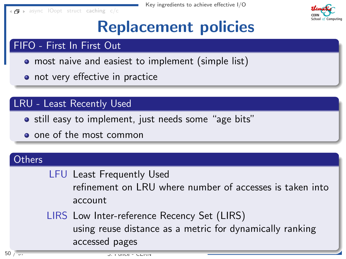<span id="page-112-0"></span>[async](#page-4-0) [IOopt](#page-33-0) [struct](#page-70-0) [caching](#page-107-0) [c/c](#page-122-0)



### Replacement policies

### FIFO - First In First Out

- most naive and easiest to implement (simple list)
- not very effective in practice

### LRU - Least Recently Used

- still easy to implement, just needs some "age bits"
- o one of the most common

### Others

- LFU Least Frequently Used
	- refinement on LRU where number of accesses is taken into account
- LIRS Low Inter-reference Recency Set (LIRS) using reuse distance as a metric for dynamically ranking accessed pages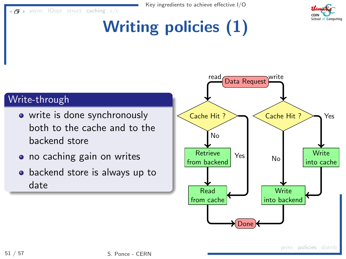$\blacksquare$  [async](#page-4-0) [IOopt](#page-33-0) [struct](#page-70-0) [caching](#page-107-0) [c/c](#page-122-0)



# Writing policies (1)

### Write-through

- write is done synchronously both to the cache and to the backend store
- no caching gain on writes
- backend store is always up to date

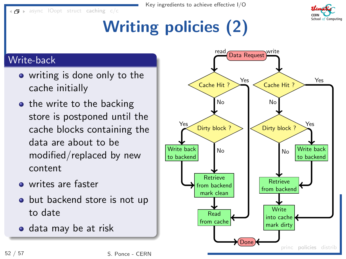Key ingredients to achieve effective I/O

 $\blacksquare$  [async](#page-4-0) [IOopt](#page-33-0) [struct](#page-70-0) [caching](#page-107-0) [c/c](#page-122-0)



# Writing policies (2)

### Write-back

- writing is done only to the cache initially
- $\bullet$  the write to the backing store is postponed until the cache blocks containing the data are about to be modified/replaced by new content
- o writes are faster
- but backend store is not up to date
- data may be at risk

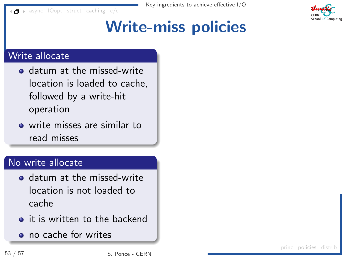$\blacksquare$  [async](#page-4-0) [IOopt](#page-33-0) [struct](#page-70-0) [caching](#page-107-0) [c/c](#page-122-0)



### Write-miss policies

### Write allocate

- **o** datum at the missed-write location is loaded to cache, followed by a write-hit operation
- write misses are similar to read misses

#### No write allocate

- o datum at the missed-write location is not loaded to cache
- it is written to the backend
- no cache for writes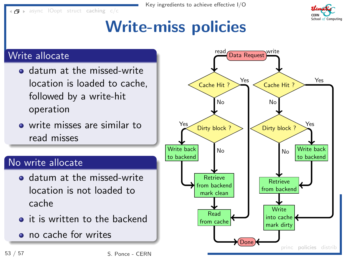$\blacksquare$  [async](#page-4-0) [IOopt](#page-33-0) [struct](#page-70-0) [caching](#page-107-0) [c/c](#page-122-0)



### Write-miss policies

### Write allocate

- datum at the missed-write location is loaded to cache, followed by a write-hit operation
- write misses are similar to read misses

#### No write allocate

- **o** datum at the missed-write location is not loaded to cache
- it is written to the backend
- no cache for writes

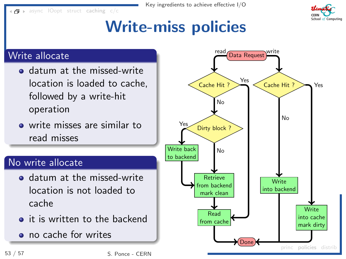$\blacksquare$  [async](#page-4-0) [IOopt](#page-33-0) [struct](#page-70-0) [caching](#page-107-0) [c/c](#page-122-0)



### Write-miss policies

### Write allocate

- datum at the missed-write location is loaded to cache, followed by a write-hit operation
- write misses are similar to read misses

#### No write allocate

- **o** datum at the missed-write location is not loaded to cache
- it is written to the backend
- no cache for writes

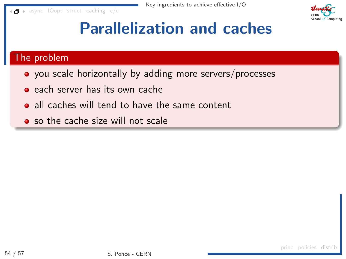

### Parallelization and caches

### <span id="page-118-0"></span>The problem

- you scale horizontally by adding more servers/processes
- **e** each server has its own cache
- all caches will tend to have the same content
- **•** so the cache size will not scale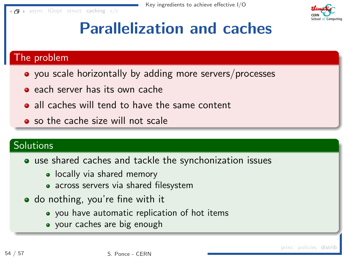

### Parallelization and caches

### <span id="page-119-0"></span>The problem

- you scale horizontally by adding more servers/processes
- **e** each server has its own cache
- all caches will tend to have the same content
- **•** so the cache size will not scale

### **Solutions**

- use shared caches and tackle the synchonization issues
	- locally via shared memory
	- across servers via shared filesystem
- do nothing, you're fine with it
	- you have automatic replication of hot items
	- your caches are big enough

[princ](#page-108-0) [policies](#page-112-0) [distrib](#page-118-0)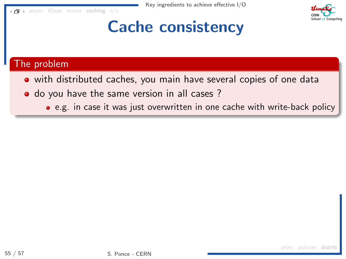[async](#page-4-0) [IOopt](#page-33-0) [struct](#page-70-0) [caching](#page-107-0) [c/c](#page-122-0)



### Cache consistency

#### The problem

- with distributed caches, you main have several copies of one data
- do you have the same version in all cases?
	- e.g. in case it was just overwritten in one cache with write-back policy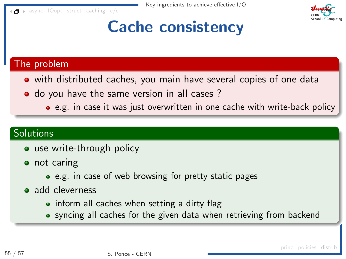$\blacksquare$  > [async](#page-4-0) lOopt [struct](#page-70-0) [caching](#page-107-0) [c/c](#page-122-0)



### Cache consistency

#### The problem

- with distributed caches, you main have several copies of one data
- do you have the same version in all cases?
	- e.g. in case it was just overwritten in one cache with write-back policy

### **Solutions**

- use write-through policy
- $\bullet$  not caring
	- e.g. in case of web browsing for pretty static pages
- add cleverness
	- inform all caches when setting a dirty flag
	- syncing all caches for the given data when retrieving from backend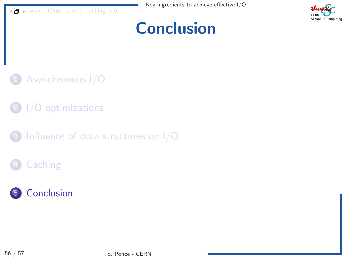

## **[Conclusion](#page-122-0)**

- <span id="page-122-0"></span>1 [Asynchronous I/O](#page-4-0)
- 2 [I/O optimizations](#page-33-0)
- [Influence of data structures on I/O](#page-70-0)
- **[Caching](#page-107-0)**